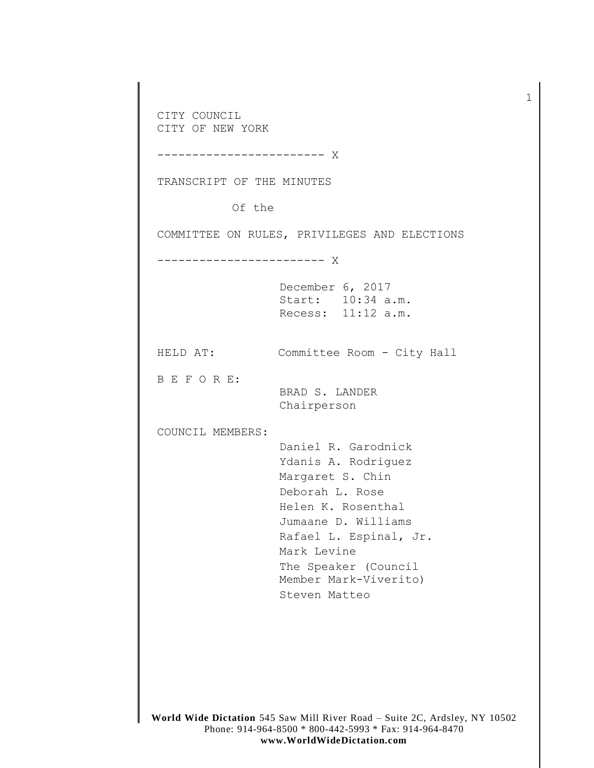CITY COUNCIL CITY OF NEW YORK ------------------------ X TRANSCRIPT OF THE MINUTES Of the COMMITTEE ON RULES, PRIVILEGES AND ELECTIONS ------------------------ X December 6, 2017 Start: 10:34 a.m. Recess: 11:12 a.m. HELD AT: Committee Room - City Hall B E F O R E: BRAD S. LANDER Chairperson COUNCIL MEMBERS: Daniel R. Garodnick Ydanis A. Rodriguez Margaret S. Chin Deborah L. Rose Helen K. Rosenthal Jumaane D. Williams Rafael L. Espinal, Jr. Mark Levine The Speaker (Council Member Mark-Viverito) Steven Matteo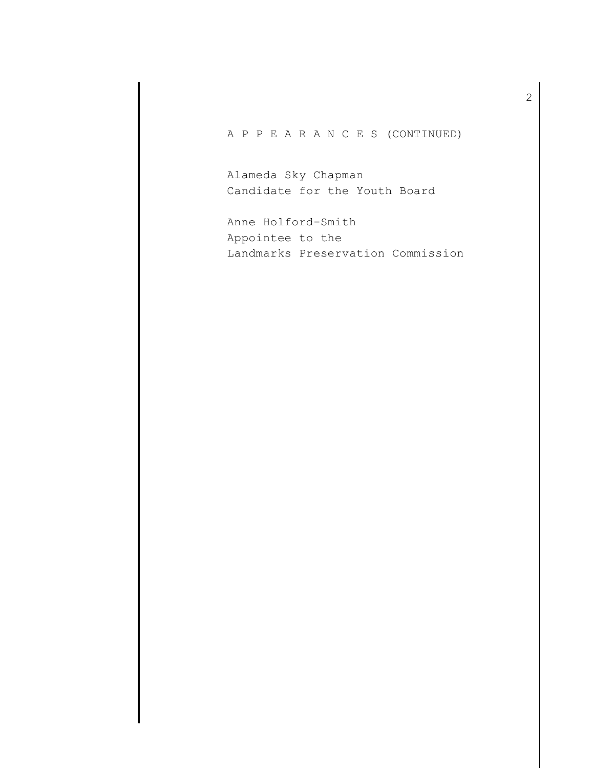## A P P E A R A N C E S (CONTINUED)

Alameda Sky Chapman Candidate for the Youth Board

Anne Holford-Smith Appointee to the Landmarks Preservation Commission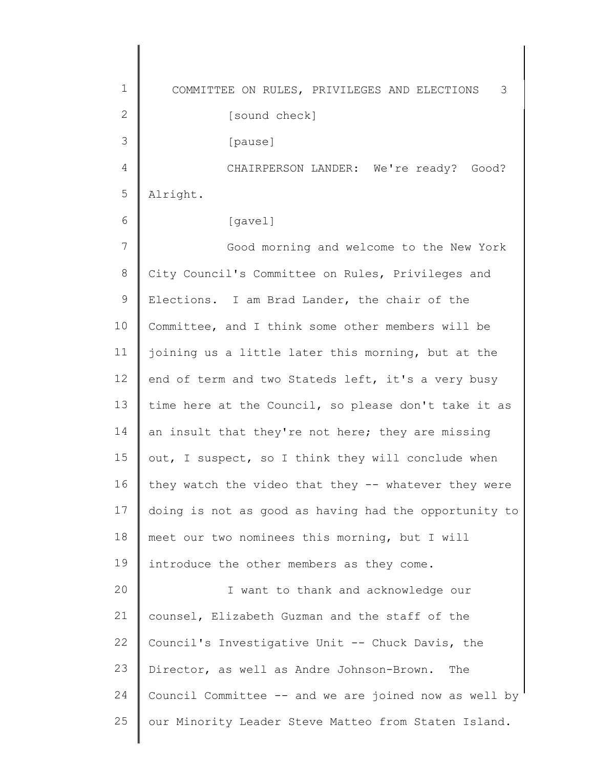1 2 3 4 5 6 7 8 9 10 11 12 13 14 15 16 17 18 19  $20$ 21 22 23 24 25 COMMITTEE ON RULES, PRIVILEGES AND ELECTIONS 3 [sound check] [pause] CHAIRPERSON LANDER: We're ready? Good? Alright. [gavel] Good morning and welcome to the New York City Council's Committee on Rules, Privileges and Elections. I am Brad Lander, the chair of the Committee, and I think some other members will be joining us a little later this morning, but at the end of term and two Stateds left, it's a very busy time here at the Council, so please don't take it as an insult that they're not here; they are missing out, I suspect, so I think they will conclude when they watch the video that they -- whatever they were doing is not as good as having had the opportunity to meet our two nominees this morning, but I will introduce the other members as they come. I want to thank and acknowledge our counsel, Elizabeth Guzman and the staff of the Council's Investigative Unit -- Chuck Davis, the Director, as well as Andre Johnson-Brown. The Council Committee -- and we are joined now as well by our Minority Leader Steve Matteo from Staten Island.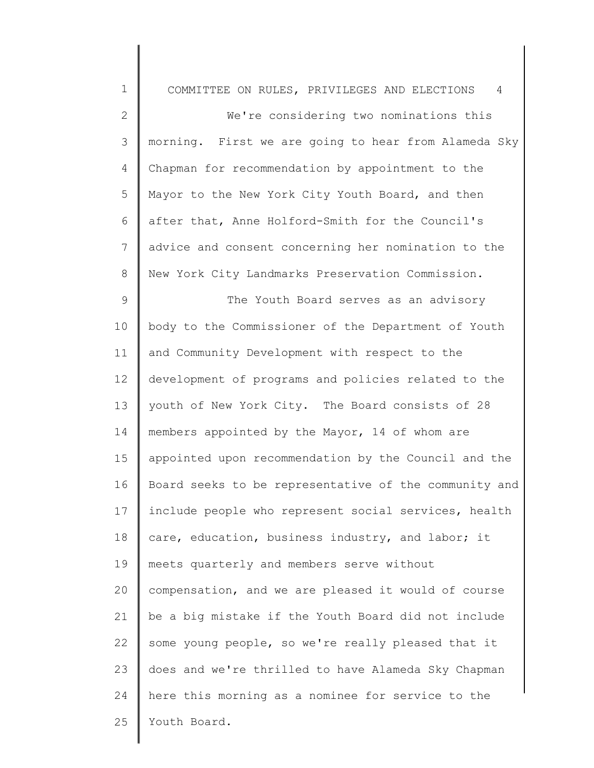| $\mathbf 1$    | COMMITTEE ON RULES, PRIVILEGES AND ELECTIONS<br>4     |
|----------------|-------------------------------------------------------|
| $\overline{2}$ | We're considering two nominations this                |
| 3              | morning. First we are going to hear from Alameda Sky  |
| 4              | Chapman for recommendation by appointment to the      |
| 5              | Mayor to the New York City Youth Board, and then      |
| 6              | after that, Anne Holford-Smith for the Council's      |
| $\overline{7}$ | advice and consent concerning her nomination to the   |
| 8              | New York City Landmarks Preservation Commission.      |
| 9              | The Youth Board serves as an advisory                 |
| 10             | body to the Commissioner of the Department of Youth   |
| 11             | and Community Development with respect to the         |
| 12             | development of programs and policies related to the   |
| 13             | youth of New York City. The Board consists of 28      |
| 14             | members appointed by the Mayor, 14 of whom are        |
| 15             | appointed upon recommendation by the Council and the  |
| 16             | Board seeks to be representative of the community and |
| 17             | include people who represent social services, health  |
| 18             | care, education, business industry, and labor; it     |
| 19             | meets quarterly and members serve without             |
| 20             | compensation, and we are pleased it would of course   |
| 21             | be a big mistake if the Youth Board did not include   |
| 22             | some young people, so we're really pleased that it    |
| 23             | does and we're thrilled to have Alameda Sky Chapman   |
| 24             | here this morning as a nominee for service to the     |
| 25             | Youth Board.                                          |
|                |                                                       |

 $\parallel$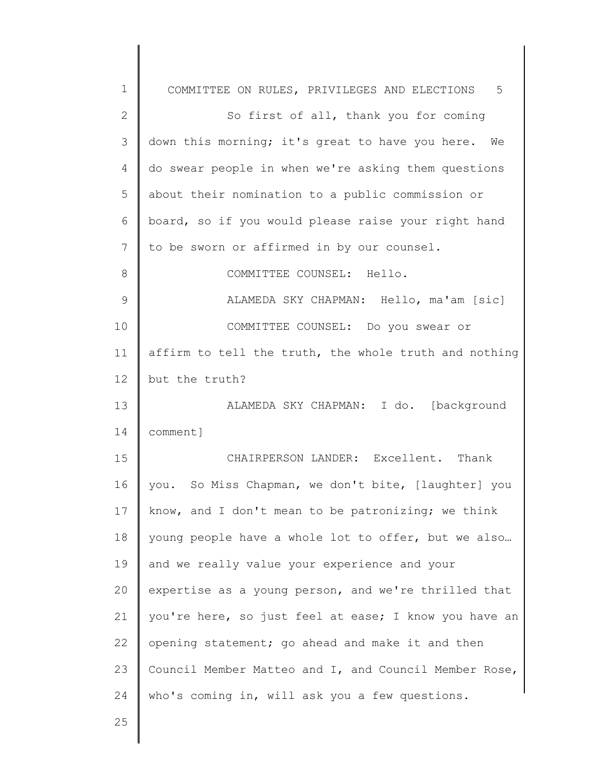| $\mathbf 1$ | COMMITTEE ON RULES, PRIVILEGES AND ELECTIONS 5        |
|-------------|-------------------------------------------------------|
| 2           | So first of all, thank you for coming                 |
| 3           | down this morning; it's great to have you here. We    |
| 4           | do swear people in when we're asking them questions   |
| 5           | about their nomination to a public commission or      |
| 6           | board, so if you would please raise your right hand   |
| 7           | to be sworn or affirmed in by our counsel.            |
| 8           | COMMITTEE COUNSEL: Hello.                             |
| 9           | ALAMEDA SKY CHAPMAN: Hello, ma'am [sic]               |
| 10          | COMMITTEE COUNSEL: Do you swear or                    |
| 11          | affirm to tell the truth, the whole truth and nothing |
| 12          | but the truth?                                        |
| 13          | ALAMEDA SKY CHAPMAN: I do. [background                |
| 14          | comment]                                              |
| 15          | CHAIRPERSON LANDER: Excellent. Thank                  |
| 16          | you. So Miss Chapman, we don't bite, [laughter] you   |
| 17          | know, and I don't mean to be patronizing; we think    |
| 18          | young people have a whole lot to offer, but we also   |
| 19          | and we really value your experience and your          |
| 20          | expertise as a young person, and we're thrilled that  |
| 21          | you're here, so just feel at ease; I know you have an |
| 22          | opening statement; go ahead and make it and then      |
| 23          | Council Member Matteo and I, and Council Member Rose, |
| 24          | who's coming in, will ask you a few questions.        |
| 25          |                                                       |
|             |                                                       |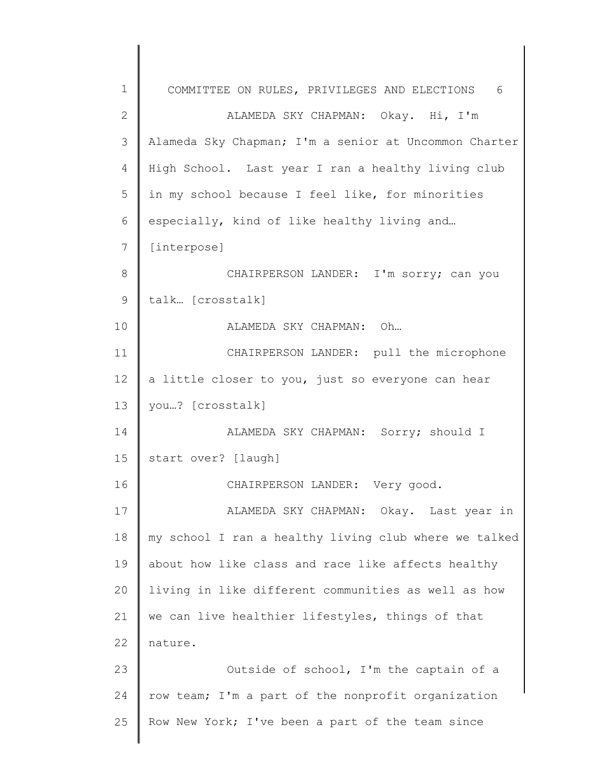1 2 3 4 5 6 7 8 9 10 11 12 13 14 15 16 17 18 19 20 21 22 23 24 25 COMMITTEE ON RULES, PRIVILEGES AND ELECTIONS 6 ALAMEDA SKY CHAPMAN: Okay. Hi, I'm Alameda Sky Chapman; I'm a senior at Uncommon Charter High School. Last year I ran a healthy living club in my school because I feel like, for minorities especially, kind of like healthy living and… [interpose] CHAIRPERSON LANDER: I'm sorry; can you talk… [crosstalk] ALAMEDA SKY CHAPMAN: Oh… CHAIRPERSON LANDER: pull the microphone a little closer to you, just so everyone can hear you…? [crosstalk] ALAMEDA SKY CHAPMAN: Sorry; should I start over? [laugh] CHAIRPERSON LANDER: Very good. ALAMEDA SKY CHAPMAN: Okay. Last year in my school I ran a healthy living club where we talked about how like class and race like affects healthy living in like different communities as well as how we can live healthier lifestyles, things of that nature. Outside of school, I'm the captain of a row team; I'm a part of the nonprofit organization Row New York; I've been a part of the team since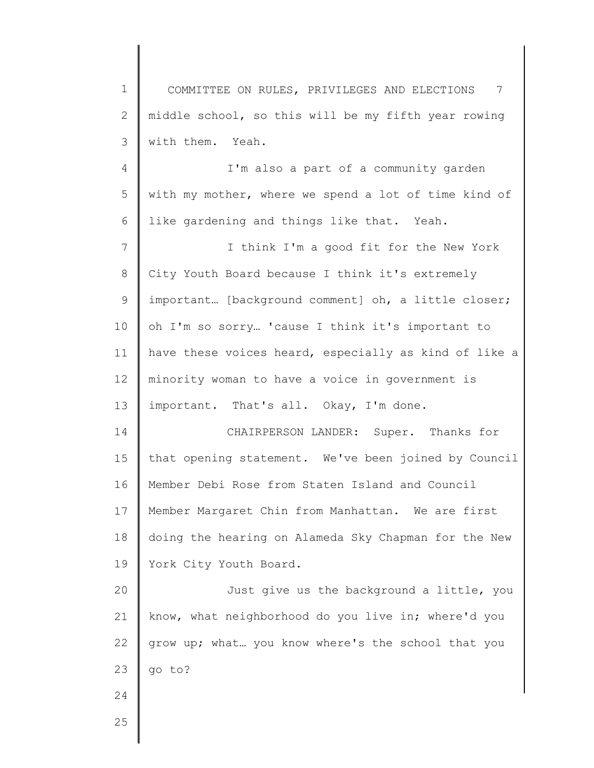1 2 3 COMMITTEE ON RULES, PRIVILEGES AND ELECTIONS 7 middle school, so this will be my fifth year rowing with them. Yeah.

4 5 6 I'm also a part of a community garden with my mother, where we spend a lot of time kind of like gardening and things like that. Yeah.

7 8 9 10 11 12 13 I think I'm a good fit for the New York City Youth Board because I think it's extremely important... [background comment] oh, a little closer; oh I'm so sorry… 'cause I think it's important to have these voices heard, especially as kind of like a minority woman to have a voice in government is important. That's all. Okay, I'm done.

14 15 16 17 18 19 CHAIRPERSON LANDER: Super. Thanks for that opening statement. We've been joined by Council Member Debi Rose from Staten Island and Council Member Margaret Chin from Manhattan. We are first doing the hearing on Alameda Sky Chapman for the New York City Youth Board.

20 21 22 23 Just give us the background a little, you know, what neighborhood do you live in; where'd you grow up; what… you know where's the school that you go to?

25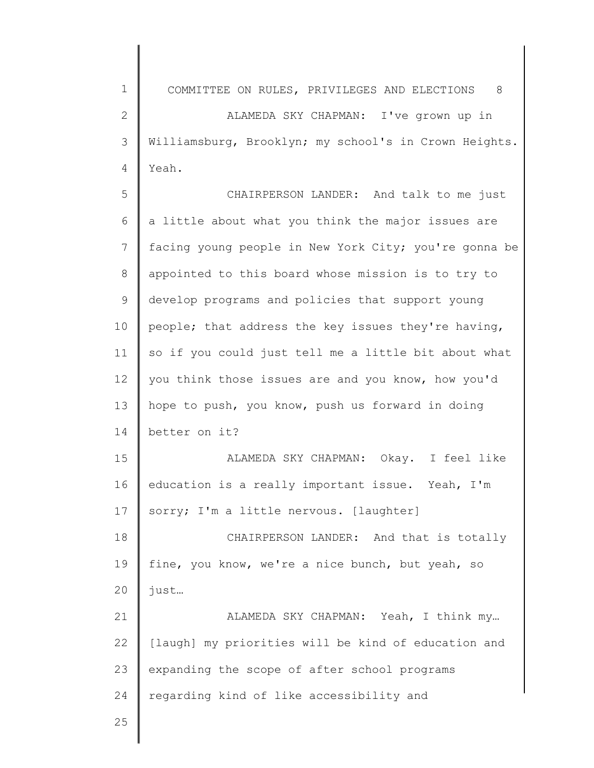1 2 3 4 5 6 7 8 9 10 11 12 13 14 15 16 17 18 19 20 21 22 COMMITTEE ON RULES, PRIVILEGES AND ELECTIONS 8 ALAMEDA SKY CHAPMAN: I've grown up in Williamsburg, Brooklyn; my school's in Crown Heights. Yeah. CHAIRPERSON LANDER: And talk to me just a little about what you think the major issues are facing young people in New York City; you're gonna be appointed to this board whose mission is to try to develop programs and policies that support young people; that address the key issues they're having, so if you could just tell me a little bit about what you think those issues are and you know, how you'd hope to push, you know, push us forward in doing better on it? ALAMEDA SKY CHAPMAN: Okay. I feel like education is a really important issue. Yeah, I'm sorry; I'm a little nervous. [laughter] CHAIRPERSON LANDER: And that is totally fine, you know, we're a nice bunch, but yeah, so just… ALAMEDA SKY CHAPMAN: Yeah, I think my… [laugh] my priorities will be kind of education and

24 regarding kind of like accessibility and

expanding the scope of after school programs

25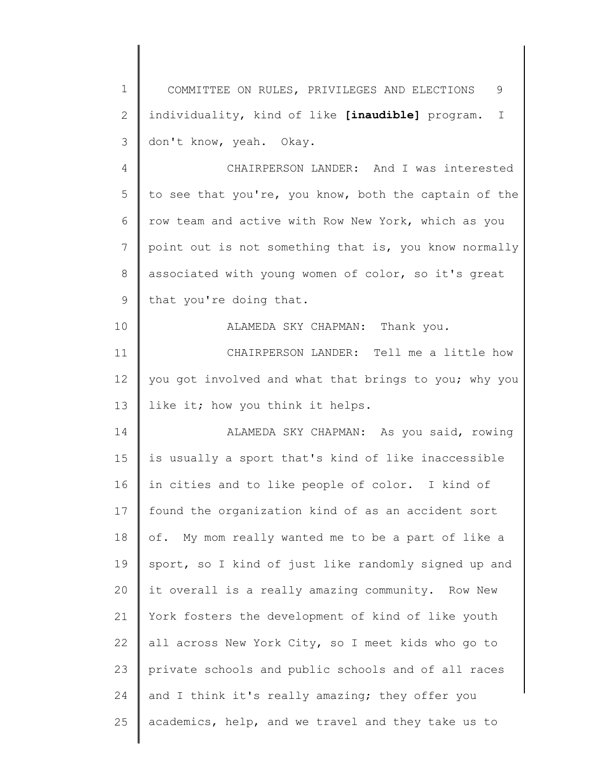1 2 3 COMMITTEE ON RULES, PRIVILEGES AND ELECTIONS 9 individuality, kind of like **[inaudible]** program. I don't know, yeah. Okay.

4 5 6 7 8 9 CHAIRPERSON LANDER: And I was interested to see that you're, you know, both the captain of the row team and active with Row New York, which as you point out is not something that is, you know normally associated with young women of color, so it's great that you're doing that.

ALAMEDA SKY CHAPMAN: Thank you.

10

11 12 13 CHAIRPERSON LANDER: Tell me a little how you got involved and what that brings to you; why you like it; how you think it helps.

14 15 16 17 18 19 20 21 22 23 24 25 ALAMEDA SKY CHAPMAN: As you said, rowing is usually a sport that's kind of like inaccessible in cities and to like people of color. I kind of found the organization kind of as an accident sort of. My mom really wanted me to be a part of like a sport, so I kind of just like randomly signed up and it overall is a really amazing community. Row New York fosters the development of kind of like youth all across New York City, so I meet kids who go to private schools and public schools and of all races and I think it's really amazing; they offer you academics, help, and we travel and they take us to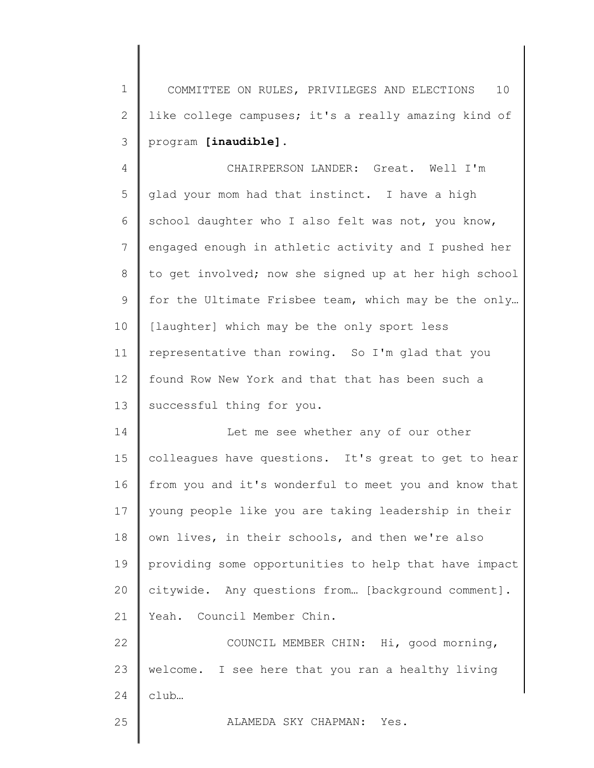1 2 3 COMMITTEE ON RULES, PRIVILEGES AND ELECTIONS 10 like college campuses; it's a really amazing kind of program **[inaudible]**.

4 5 6 7 8 9 10 11 12 13 CHAIRPERSON LANDER: Great. Well I'm glad your mom had that instinct. I have a high school daughter who I also felt was not, you know, engaged enough in athletic activity and I pushed her to get involved; now she signed up at her high school for the Ultimate Frisbee team, which may be the only… [laughter] which may be the only sport less representative than rowing. So I'm glad that you found Row New York and that that has been such a successful thing for you.

14 15 16 17 18 19 20 21 Let me see whether any of our other colleagues have questions. It's great to get to hear from you and it's wonderful to meet you and know that young people like you are taking leadership in their own lives, in their schools, and then we're also providing some opportunities to help that have impact citywide. Any questions from… [background comment]. Yeah. Council Member Chin.

22 23 24 COUNCIL MEMBER CHIN: Hi, good morning, welcome. I see here that you ran a healthy living club…

ALAMEDA SKY CHAPMAN: Yes.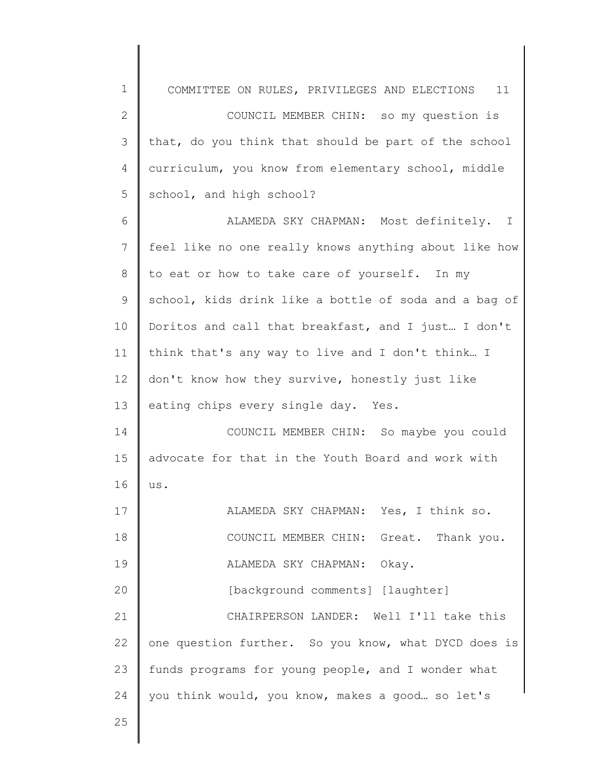| $\mathbf 1$    | COMMITTEE ON RULES, PRIVILEGES AND ELECTIONS 11       |
|----------------|-------------------------------------------------------|
| $\mathbf{2}$   | COUNCIL MEMBER CHIN: so my question is                |
| $\mathcal{S}$  | that, do you think that should be part of the school  |
| 4              | curriculum, you know from elementary school, middle   |
| 5              | school, and high school?                              |
| 6              | ALAMEDA SKY CHAPMAN: Most definitely. I               |
| $7\phantom{.}$ | feel like no one really knows anything about like how |
| 8              | to eat or how to take care of yourself. In my         |
| 9              | school, kids drink like a bottle of soda and a bag of |
| 10             | Doritos and call that breakfast, and I just I don't   |
| 11             | think that's any way to live and I don't think I      |
| 12             | don't know how they survive, honestly just like       |
| 13             | eating chips every single day. Yes.                   |
| 14             | COUNCIL MEMBER CHIN: So maybe you could               |
| 15             | advocate for that in the Youth Board and work with    |
| 16             | us.                                                   |
| 17             | ALAMEDA SKY CHAPMAN: Yes, I think so.                 |
| 18             | COUNCIL MEMBER CHIN: Great. Thank you.                |
| 19             | ALAMEDA SKY CHAPMAN: Okay.                            |
| 20             | [background comments] [laughter]                      |
| 21             | CHAIRPERSON LANDER: Well I'll take this               |
| 22             | one question further. So you know, what DYCD does is  |
| 23             | funds programs for young people, and I wonder what    |
| 24             | you think would, you know, makes a good so let's      |
| 25             |                                                       |
|                |                                                       |

 $\begin{array}{c} \hline \end{array}$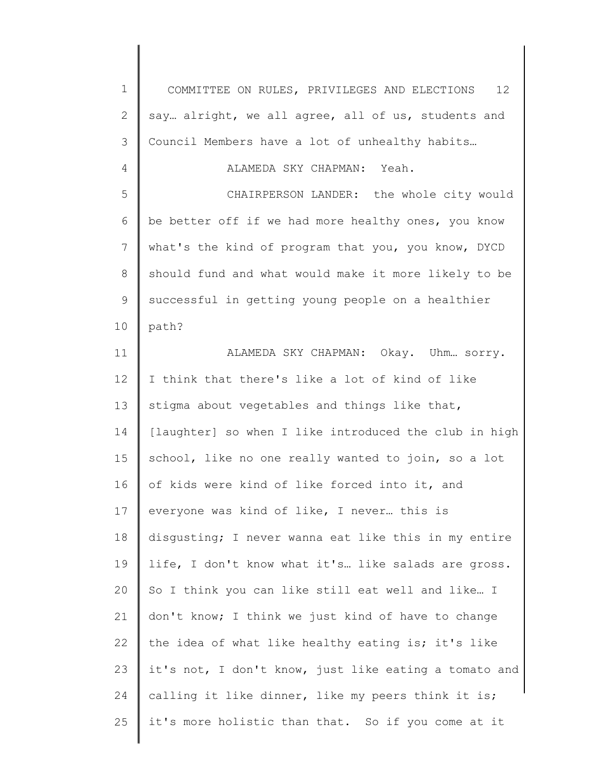| $\mathbf 1$ | COMMITTEE ON RULES, PRIVILEGES AND ELECTIONS<br>12 <sup>°</sup> |
|-------------|-----------------------------------------------------------------|
| 2           | say alright, we all agree, all of us, students and              |
| 3           | Council Members have a lot of unhealthy habits                  |
| 4           | ALAMEDA SKY CHAPMAN: Yeah.                                      |
| 5           | CHAIRPERSON LANDER: the whole city would                        |
| 6           | be better off if we had more healthy ones, you know             |
| 7           | what's the kind of program that you, you know, DYCD             |
| $8\,$       | should fund and what would make it more likely to be            |
| $\mathsf 9$ | successful in getting young people on a healthier               |
| 10          | path?                                                           |
| 11          | ALAMEDA SKY CHAPMAN: Okay. Uhm sorry.                           |
| 12          | I think that there's like a lot of kind of like                 |
| 13          | stigma about vegetables and things like that,                   |
| 14          | [laughter] so when I like introduced the club in high           |
| 15          | school, like no one really wanted to join, so a lot             |
| 16          | of kids were kind of like forced into it, and                   |
| 17          | everyone was kind of like, I never this is                      |
| 18          | disqusting; I never wanna eat like this in my entire            |
| 19          | life, I don't know what it's like salads are gross.             |
| 20          | So I think you can like still eat well and like I               |
| 21          | don't know; I think we just kind of have to change              |
| 22          | the idea of what like healthy eating is; it's like              |
| 23          | it's not, I don't know, just like eating a tomato and           |
| 24          | calling it like dinner, like my peers think it is;              |
| 25          | it's more holistic than that. So if you come at it              |
|             |                                                                 |

║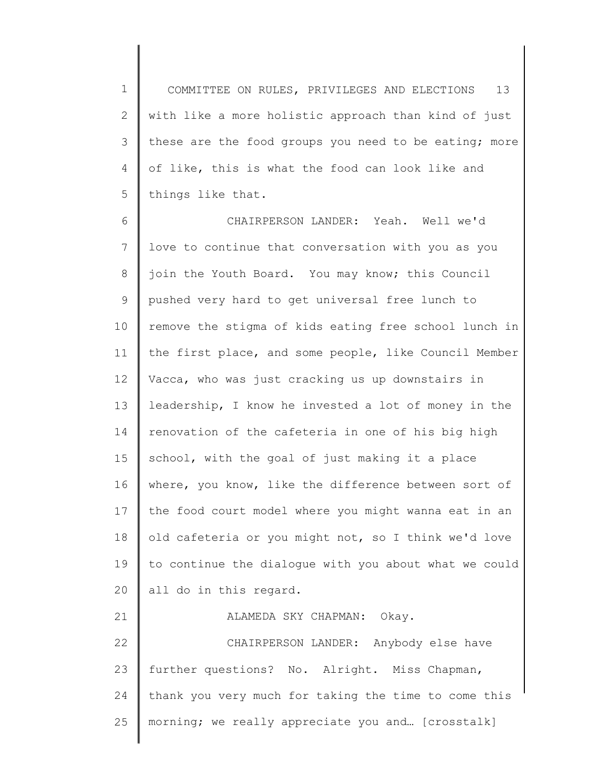1 2 3 4 5 COMMITTEE ON RULES, PRIVILEGES AND ELECTIONS 13 with like a more holistic approach than kind of just these are the food groups you need to be eating; more of like, this is what the food can look like and things like that.

6 7 8 9 10 11 12 13 14 15 16 17 18 19 20 21 22 23 CHAIRPERSON LANDER: Yeah. Well we'd love to continue that conversation with you as you join the Youth Board. You may know; this Council pushed very hard to get universal free lunch to remove the stigma of kids eating free school lunch in the first place, and some people, like Council Member Vacca, who was just cracking us up downstairs in leadership, I know he invested a lot of money in the renovation of the cafeteria in one of his big high school, with the goal of just making it a place where, you know, like the difference between sort of the food court model where you might wanna eat in an old cafeteria or you might not, so I think we'd love to continue the dialogue with you about what we could all do in this regard. ALAMEDA SKY CHAPMAN: Okay. CHAIRPERSON LANDER: Anybody else have further questions? No. Alright. Miss Chapman,

24 25 thank you very much for taking the time to come this morning; we really appreciate you and… [crosstalk]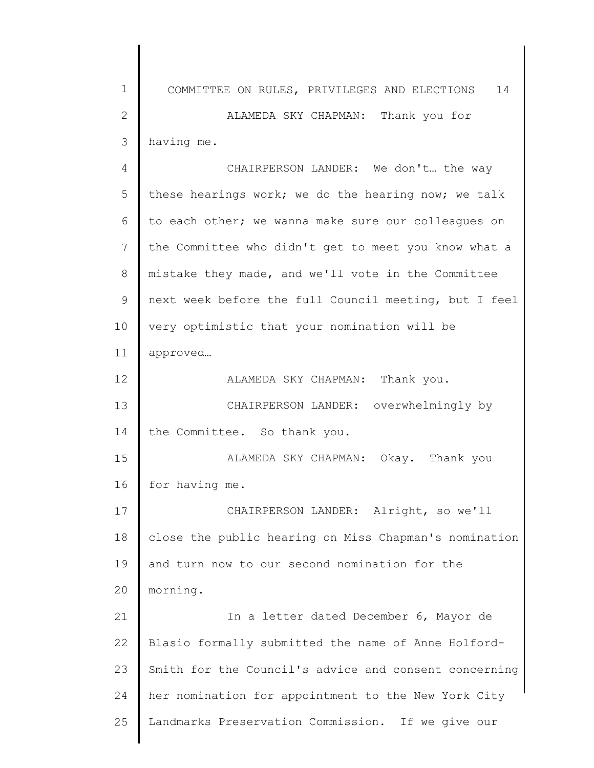1 2 3 4 5 6 7 8 9 10 11 12 13 14 15 16 17 18 19 20 21 22 23 24 25 COMMITTEE ON RULES, PRIVILEGES AND ELECTIONS 14 ALAMEDA SKY CHAPMAN: Thank you for having me. CHAIRPERSON LANDER: We don't… the way these hearings work; we do the hearing now; we talk to each other; we wanna make sure our colleagues on the Committee who didn't get to meet you know what a mistake they made, and we'll vote in the Committee next week before the full Council meeting, but I feel very optimistic that your nomination will be approved… ALAMEDA SKY CHAPMAN: Thank you. CHAIRPERSON LANDER: overwhelmingly by the Committee. So thank you. ALAMEDA SKY CHAPMAN: Okay. Thank you for having me. CHAIRPERSON LANDER: Alright, so we'll close the public hearing on Miss Chapman's nomination and turn now to our second nomination for the morning. In a letter dated December 6, Mayor de Blasio formally submitted the name of Anne Holford-Smith for the Council's advice and consent concerning her nomination for appointment to the New York City Landmarks Preservation Commission. If we give our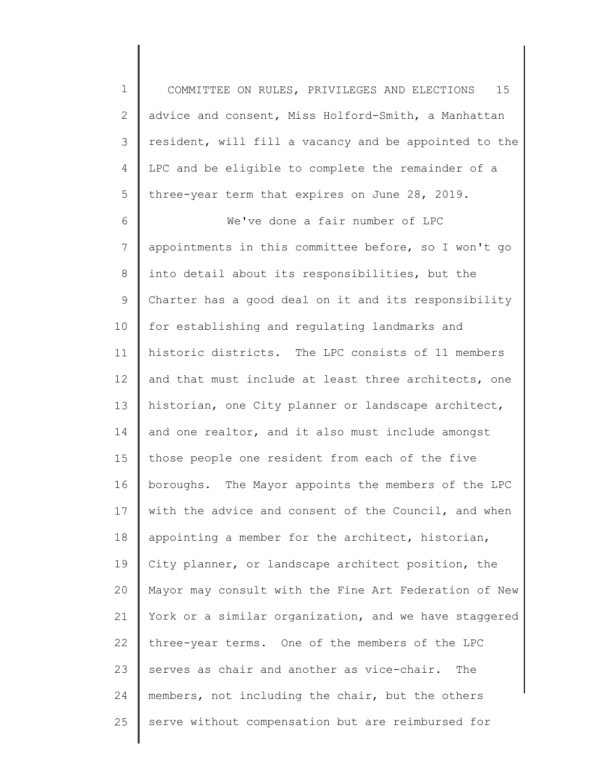1 2 3 4 5 COMMITTEE ON RULES, PRIVILEGES AND ELECTIONS 15 advice and consent, Miss Holford-Smith, a Manhattan resident, will fill a vacancy and be appointed to the LPC and be eligible to complete the remainder of a three-year term that expires on June 28, 2019.

6 7 8 9 10 11 12 13 14 15 16 17 18 19 20 21 22 23 24 25 We've done a fair number of LPC appointments in this committee before, so I won't go into detail about its responsibilities, but the Charter has a good deal on it and its responsibility for establishing and regulating landmarks and historic districts. The LPC consists of 11 members and that must include at least three architects, one historian, one City planner or landscape architect, and one realtor, and it also must include amongst those people one resident from each of the five boroughs. The Mayor appoints the members of the LPC with the advice and consent of the Council, and when appointing a member for the architect, historian, City planner, or landscape architect position, the Mayor may consult with the Fine Art Federation of New York or a similar organization, and we have staggered three-year terms. One of the members of the LPC serves as chair and another as vice-chair. The members, not including the chair, but the others serve without compensation but are reimbursed for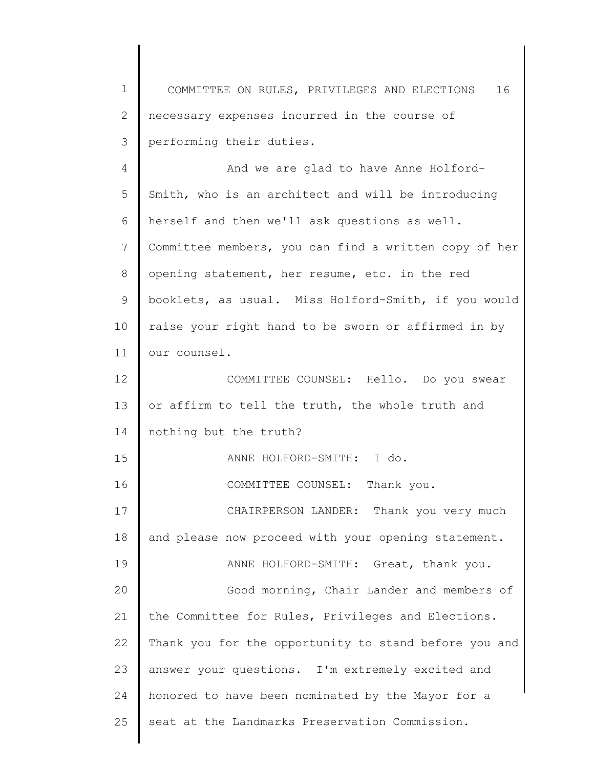1 2 3 COMMITTEE ON RULES, PRIVILEGES AND ELECTIONS 16 necessary expenses incurred in the course of performing their duties.

4 5 6 7 8 9 10 11 12 13 14 15 16 17 18 19 20 21 22 23 24 25 And we are glad to have Anne Holford-Smith, who is an architect and will be introducing herself and then we'll ask questions as well. Committee members, you can find a written copy of her opening statement, her resume, etc. in the red booklets, as usual. Miss Holford-Smith, if you would raise your right hand to be sworn or affirmed in by our counsel. COMMITTEE COUNSEL: Hello. Do you swear or affirm to tell the truth, the whole truth and nothing but the truth? ANNE HOLFORD-SMITH: I do. COMMITTEE COUNSEL: Thank you. CHAIRPERSON LANDER: Thank you very much and please now proceed with your opening statement. ANNE HOLFORD-SMITH: Great, thank you. Good morning, Chair Lander and members of the Committee for Rules, Privileges and Elections. Thank you for the opportunity to stand before you and answer your questions. I'm extremely excited and honored to have been nominated by the Mayor for a seat at the Landmarks Preservation Commission.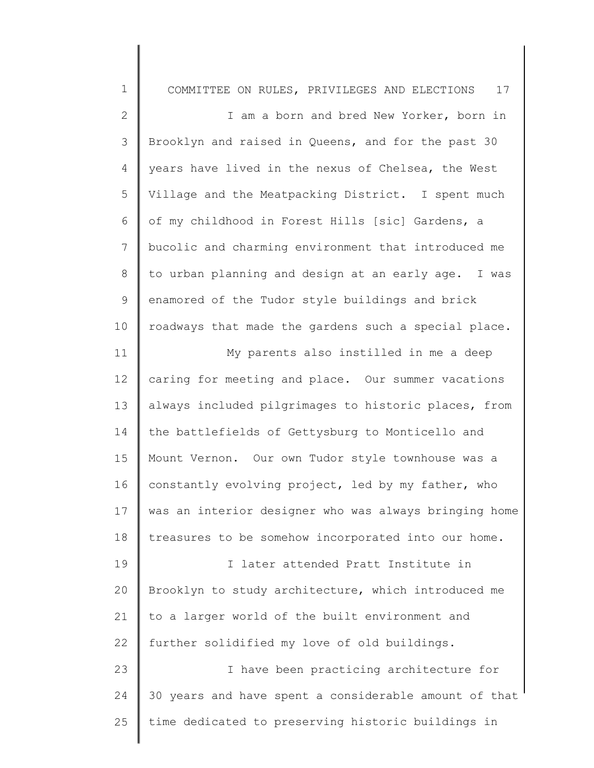| $\mathbf 1$     | COMMITTEE ON RULES, PRIVILEGES AND ELECTIONS<br>17    |
|-----------------|-------------------------------------------------------|
| $\mathbf{2}$    | I am a born and bred New Yorker, born in              |
| 3               | Brooklyn and raised in Queens, and for the past 30    |
| 4               | years have lived in the nexus of Chelsea, the West    |
| 5               | Village and the Meatpacking District. I spent much    |
| 6               | of my childhood in Forest Hills [sic] Gardens, a      |
| 7               | bucolic and charming environment that introduced me   |
| 8               | to urban planning and design at an early age. I was   |
| 9               | enamored of the Tudor style buildings and brick       |
| 10              | roadways that made the gardens such a special place.  |
| 11              | My parents also instilled in me a deep                |
| 12 <sup>°</sup> | caring for meeting and place. Our summer vacations    |
| 13              | always included pilgrimages to historic places, from  |
| 14              | the battlefields of Gettysburg to Monticello and      |
| 15              | Mount Vernon. Our own Tudor style townhouse was a     |
| 16              | constantly evolving project, led by my father, who    |
| 17              | was an interior designer who was always bringing home |
| 18              | treasures to be somehow incorporated into our home.   |
| 19              | I later attended Pratt Institute in                   |
| 20              | Brooklyn to study architecture, which introduced me   |
| 21              | to a larger world of the built environment and        |
| 22              | further solidified my love of old buildings.          |
| 23              | I have been practicing architecture for               |
| 24              | 30 years and have spent a considerable amount of that |
| 25              | time dedicated to preserving historic buildings in    |
|                 |                                                       |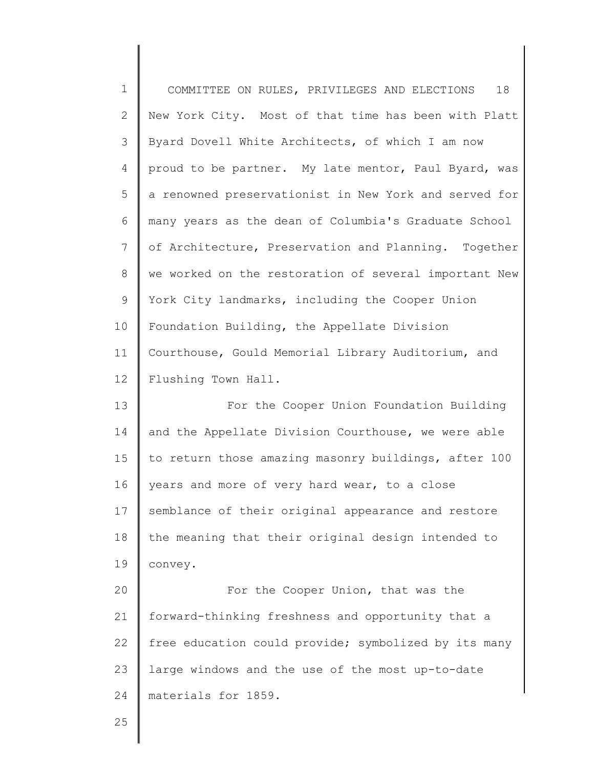| $1\,$          | 18<br>COMMITTEE ON RULES, PRIVILEGES AND ELECTIONS    |
|----------------|-------------------------------------------------------|
| $\mathbf{2}$   | New York City. Most of that time has been with Platt  |
| 3              | Byard Dovell White Architects, of which I am now      |
| $\overline{4}$ | proud to be partner. My late mentor, Paul Byard, was  |
| 5              | a renowned preservationist in New York and served for |
| 6              | many years as the dean of Columbia's Graduate School  |
| $\overline{7}$ | of Architecture, Preservation and Planning. Together  |
| 8              | we worked on the restoration of several important New |
| $\mathsf 9$    | York City landmarks, including the Cooper Union       |
| 10             | Foundation Building, the Appellate Division           |
| 11             | Courthouse, Gould Memorial Library Auditorium, and    |
| 12             | Flushing Town Hall.                                   |
| 13             | For the Cooper Union Foundation Building              |
| 14             | and the Appellate Division Courthouse, we were able   |
| 15             | to return those amazing masonry buildings, after 100  |
| 16             | years and more of very hard wear, to a close          |
| 17             | semblance of their original appearance and restore    |
| 18             | the meaning that their original design intended to    |
| 19             | convey.                                               |
| 20             | For the Cooper Union, that was the                    |
| 21             | forward-thinking freshness and opportunity that a     |
| 22             | free education could provide; symbolized by its many  |
| 23             | large windows and the use of the most up-to-date      |
| 24             | materials for 1859.                                   |
| 25             |                                                       |

I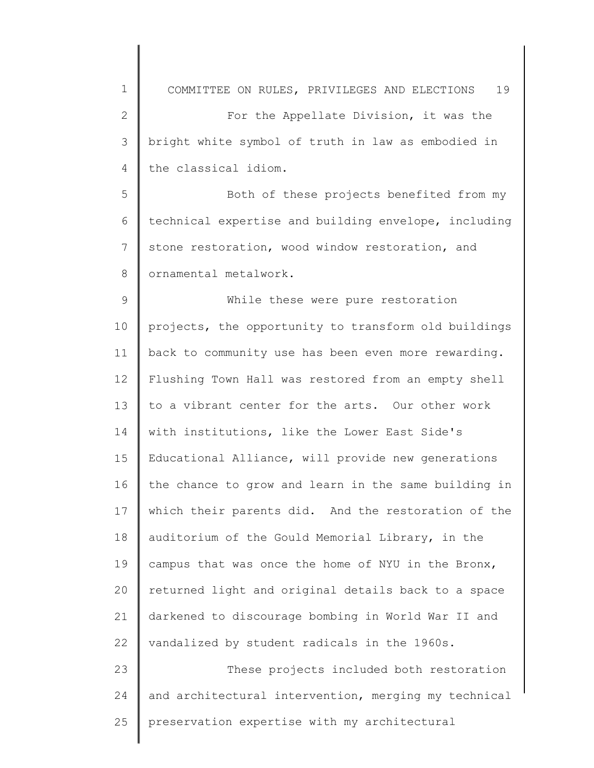1 2 3 4 5 6 7 8 9 10 11 12 13 14 15 16 17 18 19 20 21 22 23 24 25 COMMITTEE ON RULES, PRIVILEGES AND ELECTIONS 19 For the Appellate Division, it was the bright white symbol of truth in law as embodied in the classical idiom. Both of these projects benefited from my technical expertise and building envelope, including stone restoration, wood window restoration, and ornamental metalwork. While these were pure restoration projects, the opportunity to transform old buildings back to community use has been even more rewarding. Flushing Town Hall was restored from an empty shell to a vibrant center for the arts. Our other work with institutions, like the Lower East Side's Educational Alliance, will provide new generations the chance to grow and learn in the same building in which their parents did. And the restoration of the auditorium of the Gould Memorial Library, in the campus that was once the home of NYU in the Bronx, returned light and original details back to a space darkened to discourage bombing in World War II and vandalized by student radicals in the 1960s. These projects included both restoration and architectural intervention, merging my technical preservation expertise with my architectural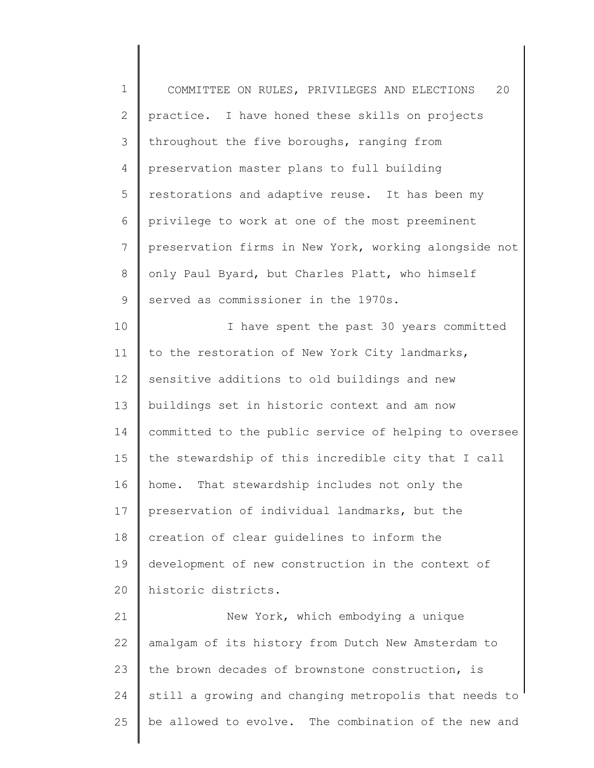1 2 3 4 5 6 7 8 9 10 11 12 13 14 15 16 17 18 19 20 21 22 23 24 25 COMMITTEE ON RULES, PRIVILEGES AND ELECTIONS 20 practice. I have honed these skills on projects throughout the five boroughs, ranging from preservation master plans to full building restorations and adaptive reuse. It has been my privilege to work at one of the most preeminent preservation firms in New York, working alongside not only Paul Byard, but Charles Platt, who himself served as commissioner in the 1970s. I have spent the past 30 years committed to the restoration of New York City landmarks, sensitive additions to old buildings and new buildings set in historic context and am now committed to the public service of helping to oversee the stewardship of this incredible city that I call home. That stewardship includes not only the preservation of individual landmarks, but the creation of clear guidelines to inform the development of new construction in the context of historic districts. New York, which embodying a unique amalgam of its history from Dutch New Amsterdam to the brown decades of brownstone construction, is still a growing and changing metropolis that needs to be allowed to evolve. The combination of the new and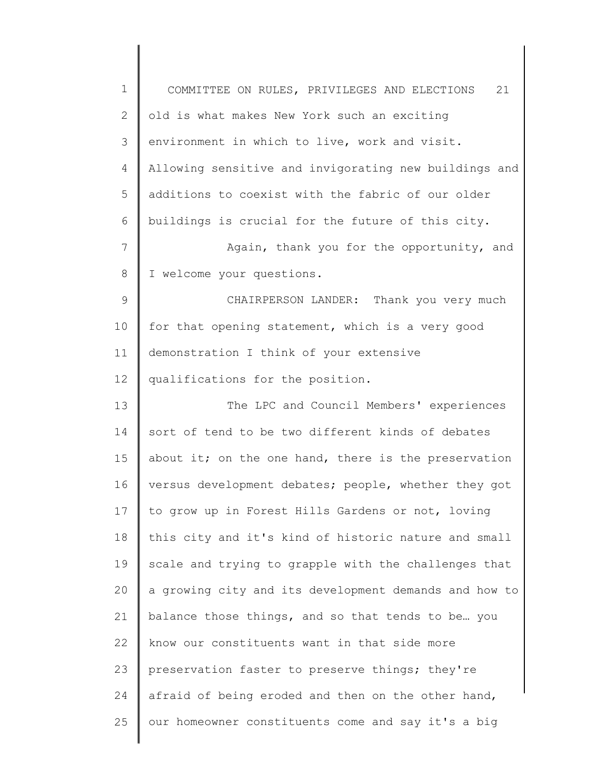| $\mathbf 1$  | 21<br>COMMITTEE ON RULES, PRIVILEGES AND ELECTIONS    |
|--------------|-------------------------------------------------------|
| $\mathbf{2}$ | old is what makes New York such an exciting           |
| 3            | environment in which to live, work and visit.         |
| 4            | Allowing sensitive and invigorating new buildings and |
| 5            | additions to coexist with the fabric of our older     |
| 6            | buildings is crucial for the future of this city.     |
| 7            | Again, thank you for the opportunity, and             |
| 8            | I welcome your questions.                             |
| 9            | CHAIRPERSON LANDER: Thank you very much               |
| 10           | for that opening statement, which is a very good      |
| 11           | demonstration I think of your extensive               |
| 12           | qualifications for the position.                      |
| 13           | The LPC and Council Members' experiences              |
| 14           | sort of tend to be two different kinds of debates     |
| 15           | about it; on the one hand, there is the preservation  |
| 16           | versus development debates; people, whether they got  |
| 17           | to grow up in Forest Hills Gardens or not, loving     |
| 18           | this city and it's kind of historic nature and small  |
| 19           | scale and trying to grapple with the challenges that  |
| 20           | a growing city and its development demands and how to |
| 21           | balance those things, and so that tends to be you     |
| 22           | know our constituents want in that side more          |
| 23           | preservation faster to preserve things; they're       |
| 24           | afraid of being eroded and then on the other hand,    |
| 25           | our homeowner constituents come and say it's a big    |
|              |                                                       |

║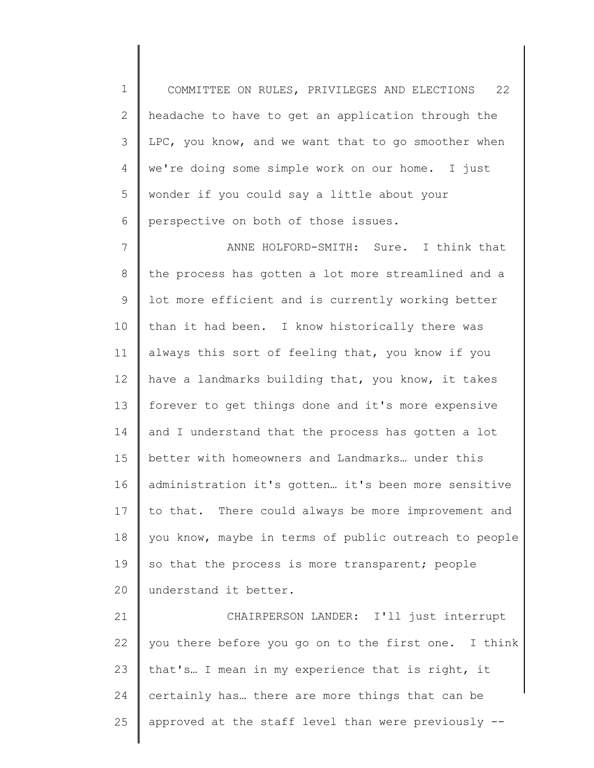1 2 3 4 5 6 COMMITTEE ON RULES, PRIVILEGES AND ELECTIONS 22 headache to have to get an application through the LPC, you know, and we want that to go smoother when we're doing some simple work on our home. I just wonder if you could say a little about your perspective on both of those issues.

7 8 9 10 11 12 13 14 15 16 17 18 19 20 ANNE HOLFORD-SMITH: Sure. I think that the process has gotten a lot more streamlined and a lot more efficient and is currently working better than it had been. I know historically there was always this sort of feeling that, you know if you have a landmarks building that, you know, it takes forever to get things done and it's more expensive and I understand that the process has gotten a lot better with homeowners and Landmarks… under this administration it's gotten… it's been more sensitive to that. There could always be more improvement and you know, maybe in terms of public outreach to people so that the process is more transparent; people understand it better.

21 22 23 24 25 CHAIRPERSON LANDER: I'll just interrupt you there before you go on to the first one. I think that's… I mean in my experience that is right, it certainly has… there are more things that can be approved at the staff level than were previously --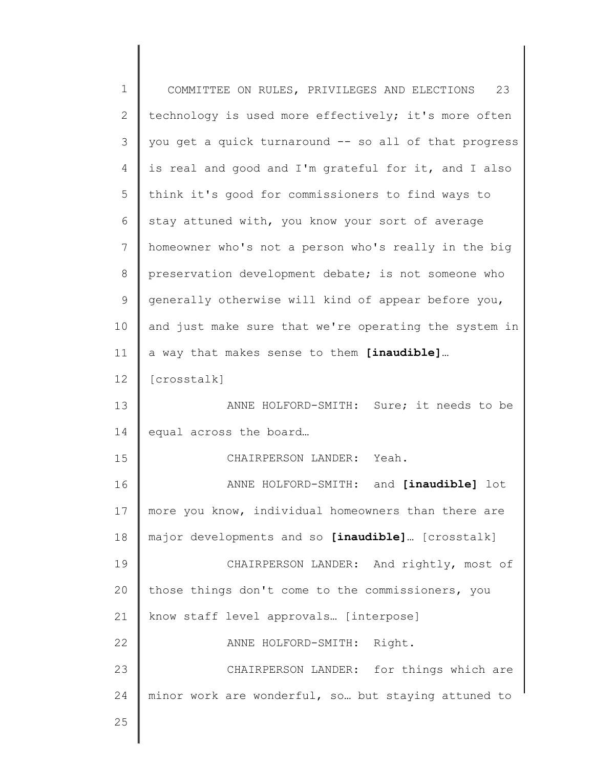| $\mathbf 1$  | COMMITTEE ON RULES, PRIVILEGES AND ELECTIONS 23       |
|--------------|-------------------------------------------------------|
| $\mathbf{2}$ | technology is used more effectively; it's more often  |
| 3            | you get a quick turnaround -- so all of that progress |
| 4            | is real and good and I'm grateful for it, and I also  |
| 5            | think it's good for commissioners to find ways to     |
| 6            | stay attuned with, you know your sort of average      |
| 7            | homeowner who's not a person who's really in the big  |
| $\,8\,$      | preservation development debate; is not someone who   |
| 9            | generally otherwise will kind of appear before you,   |
| 10           | and just make sure that we're operating the system in |
| 11           | a way that makes sense to them [inaudible]            |
| 12           | [crosstalk]                                           |
| 13           | ANNE HOLFORD-SMITH: Sure; it needs to be              |
| 14           | equal across the board                                |
| 15           | CHAIRPERSON LANDER: Yeah.                             |
| 16           | ANNE HOLFORD-SMITH: and [inaudible] lot               |
| 17           | more you know, individual homeowners than there are   |
| 18           | major developments and so [inaudible] [crosstalk]     |
| 19           | CHAIRPERSON LANDER: And rightly, most of              |
| 20           | those things don't come to the commissioners, you     |
| 21           | know staff level approvals [interpose]                |
| 22           | ANNE HOLFORD-SMITH: Right.                            |
| 23           | CHAIRPERSON LANDER: for things which are              |
| 24           | minor work are wonderful, so but staying attuned to   |
| 25           |                                                       |
|              |                                                       |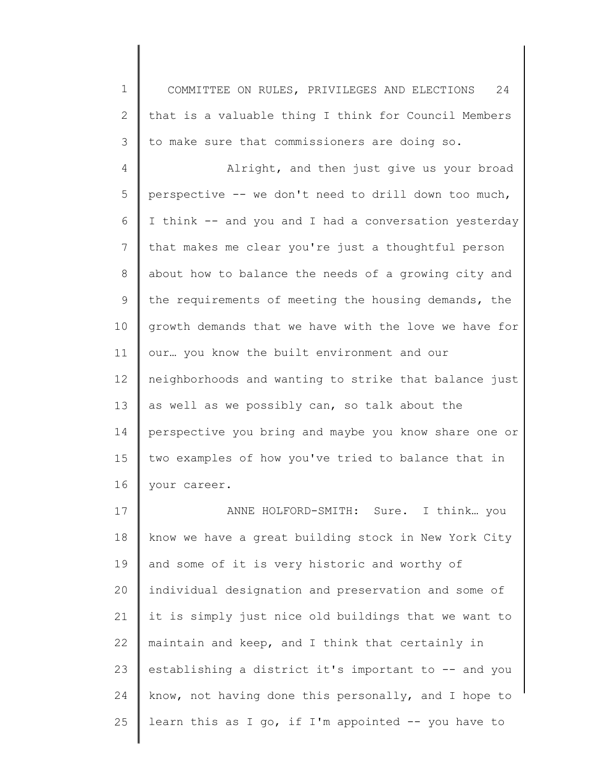1 COMMITTEE ON RULES, PRIVILEGES AND ELECTIONS 24 that is a valuable thing I think for Council Members to make sure that commissioners are doing so.

2

3

4 5 6 7 8 9 10 11 12 13 14 15 16 Alright, and then just give us your broad perspective -- we don't need to drill down too much, I think -- and you and I had a conversation yesterday that makes me clear you're just a thoughtful person about how to balance the needs of a growing city and the requirements of meeting the housing demands, the growth demands that we have with the love we have for our… you know the built environment and our neighborhoods and wanting to strike that balance just as well as we possibly can, so talk about the perspective you bring and maybe you know share one or two examples of how you've tried to balance that in your career.

17 18 19 20 21 22 23 24 25 ANNE HOLFORD-SMITH: Sure. I think… you know we have a great building stock in New York City and some of it is very historic and worthy of individual designation and preservation and some of it is simply just nice old buildings that we want to maintain and keep, and I think that certainly in establishing a district it's important to -- and you know, not having done this personally, and I hope to learn this as I go, if I'm appointed  $-$ - you have to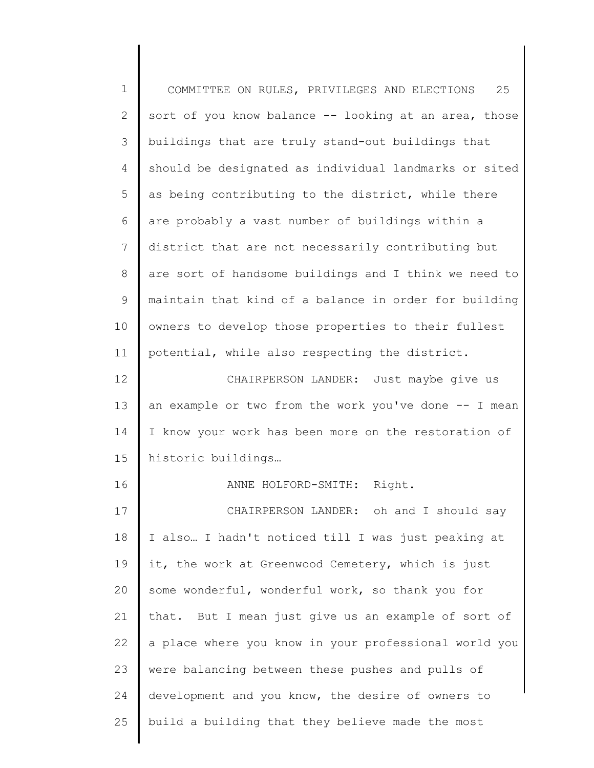| $\mathbf 1$  | 25<br>COMMITTEE ON RULES, PRIVILEGES AND ELECTIONS    |
|--------------|-------------------------------------------------------|
| $\mathbf{2}$ | sort of you know balance -- looking at an area, those |
| 3            | buildings that are truly stand-out buildings that     |
| 4            | should be designated as individual landmarks or sited |
| 5            | as being contributing to the district, while there    |
| 6            | are probably a vast number of buildings within a      |
| 7            | district that are not necessarily contributing but    |
| 8            | are sort of handsome buildings and I think we need to |
| 9            | maintain that kind of a balance in order for building |
| 10           | owners to develop those properties to their fullest   |
| 11           | potential, while also respecting the district.        |
| 12           | CHAIRPERSON LANDER: Just maybe give us                |
| 13           | an example or two from the work you've done -- I mean |
| 14           | I know your work has been more on the restoration of  |
| 15           | historic buildings                                    |
| 16           | ANNE HOLFORD-SMITH: Right.                            |
| 17           | CHAIRPERSON LANDER: oh and I should say               |
| 18           | I also  I hadn't noticed till I was just peaking at   |
| 19           | it, the work at Greenwood Cemetery, which is just     |
| 20           | some wonderful, wonderful work, so thank you for      |
| 21           | that. But I mean just give us an example of sort of   |
| 22           | a place where you know in your professional world you |
| 23           | were balancing between these pushes and pulls of      |
| 24           | development and you know, the desire of owners to     |
| 25           | build a building that they believe made the most      |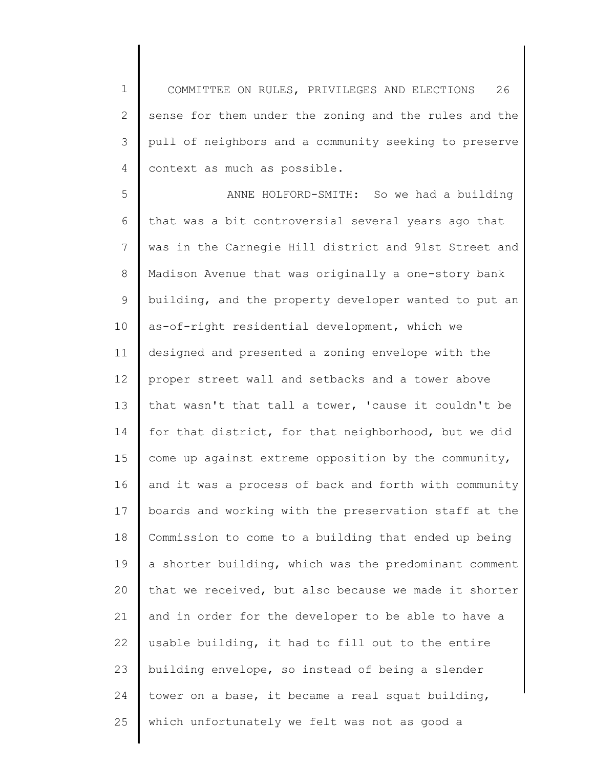1 2 3 4 COMMITTEE ON RULES, PRIVILEGES AND ELECTIONS 26 sense for them under the zoning and the rules and the pull of neighbors and a community seeking to preserve context as much as possible.

5 6 7 8 9 10 11 12 13 14 15 16 17 18 19 20 21 22 23 24 25 ANNE HOLFORD-SMITH: So we had a building that was a bit controversial several years ago that was in the Carnegie Hill district and 91st Street and Madison Avenue that was originally a one-story bank building, and the property developer wanted to put an as-of-right residential development, which we designed and presented a zoning envelope with the proper street wall and setbacks and a tower above that wasn't that tall a tower, 'cause it couldn't be for that district, for that neighborhood, but we did come up against extreme opposition by the community, and it was a process of back and forth with community boards and working with the preservation staff at the Commission to come to a building that ended up being a shorter building, which was the predominant comment that we received, but also because we made it shorter and in order for the developer to be able to have a usable building, it had to fill out to the entire building envelope, so instead of being a slender tower on a base, it became a real squat building, which unfortunately we felt was not as good a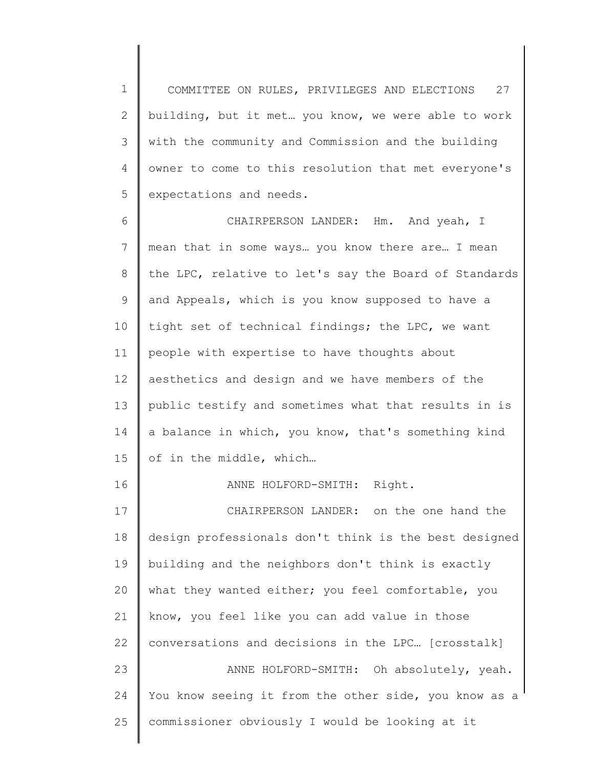1 2 3 4 5 COMMITTEE ON RULES, PRIVILEGES AND ELECTIONS 27 building, but it met… you know, we were able to work with the community and Commission and the building owner to come to this resolution that met everyone's expectations and needs.

6 7 8 9 10 11 12 13 14 15 16 17 18 19 20 21 22 23 24 CHAIRPERSON LANDER: Hm. And yeah, I mean that in some ways… you know there are… I mean the LPC, relative to let's say the Board of Standards and Appeals, which is you know supposed to have a tight set of technical findings; the LPC, we want people with expertise to have thoughts about aesthetics and design and we have members of the public testify and sometimes what that results in is a balance in which, you know, that's something kind of in the middle, which… ANNE HOLFORD-SMITH: Right. CHAIRPERSON LANDER: on the one hand the design professionals don't think is the best designed building and the neighbors don't think is exactly what they wanted either; you feel comfortable, you know, you feel like you can add value in those conversations and decisions in the LPC… [crosstalk] ANNE HOLFORD-SMITH: Oh absolutely, yeah. You know seeing it from the other side, you know as a

commissioner obviously I would be looking at it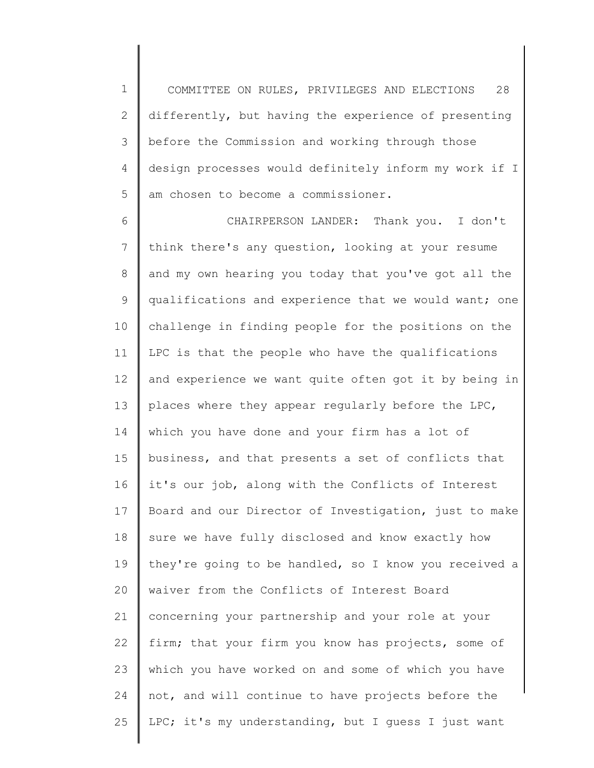1 2 3 4 5 COMMITTEE ON RULES, PRIVILEGES AND ELECTIONS 28 differently, but having the experience of presenting before the Commission and working through those design processes would definitely inform my work if I am chosen to become a commissioner.

6 7 8 9 10 11 12 13 14 15 16 17 18 19 20 21 22 23 24 25 CHAIRPERSON LANDER: Thank you. I don't think there's any question, looking at your resume and my own hearing you today that you've got all the qualifications and experience that we would want; one challenge in finding people for the positions on the LPC is that the people who have the qualifications and experience we want quite often got it by being in places where they appear regularly before the LPC, which you have done and your firm has a lot of business, and that presents a set of conflicts that it's our job, along with the Conflicts of Interest Board and our Director of Investigation, just to make sure we have fully disclosed and know exactly how they're going to be handled, so I know you received a waiver from the Conflicts of Interest Board concerning your partnership and your role at your firm; that your firm you know has projects, some of which you have worked on and some of which you have not, and will continue to have projects before the LPC; it's my understanding, but I guess I just want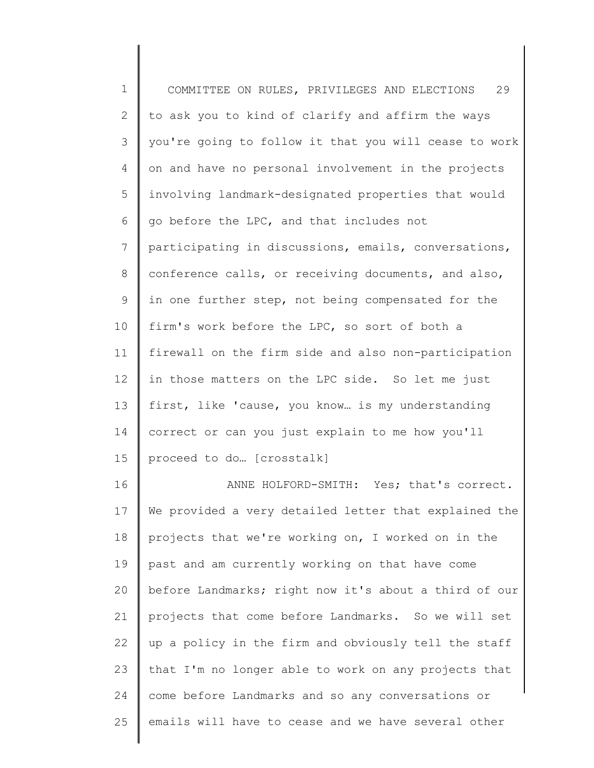1 2 3 4 5 6 7 8 9 10 11 12 13 14 15 16 17 18 19 20 21 22 23 24 COMMITTEE ON RULES, PRIVILEGES AND ELECTIONS 29 to ask you to kind of clarify and affirm the ways you're going to follow it that you will cease to work on and have no personal involvement in the projects involving landmark-designated properties that would go before the LPC, and that includes not participating in discussions, emails, conversations, conference calls, or receiving documents, and also, in one further step, not being compensated for the firm's work before the LPC, so sort of both a firewall on the firm side and also non-participation in those matters on the LPC side. So let me just first, like 'cause, you know… is my understanding correct or can you just explain to me how you'll proceed to do… [crosstalk] ANNE HOLFORD-SMITH: Yes; that's correct. We provided a very detailed letter that explained the projects that we're working on, I worked on in the past and am currently working on that have come before Landmarks; right now it's about a third of our projects that come before Landmarks. So we will set up a policy in the firm and obviously tell the staff that I'm no longer able to work on any projects that come before Landmarks and so any conversations or

emails will have to cease and we have several other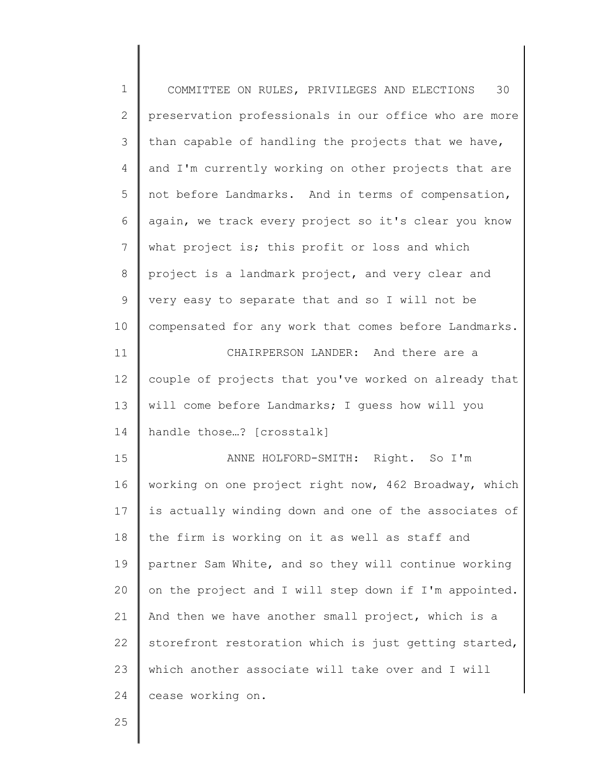| $\mathbf 1$     | COMMITTEE ON RULES, PRIVILEGES AND ELECTIONS<br>30    |
|-----------------|-------------------------------------------------------|
| $\mathbf{2}$    | preservation professionals in our office who are more |
| 3               | than capable of handling the projects that we have,   |
| $\overline{4}$  | and I'm currently working on other projects that are  |
| 5               | not before Landmarks. And in terms of compensation,   |
| 6               | again, we track every project so it's clear you know  |
| $7\overline{ }$ | what project is; this profit or loss and which        |
| 8               | project is a landmark project, and very clear and     |
| 9               | very easy to separate that and so I will not be       |
| 10              | compensated for any work that comes before Landmarks. |
| 11              | CHAIRPERSON LANDER: And there are a                   |
| 12 <sup>°</sup> | couple of projects that you've worked on already that |
| 13              | will come before Landmarks; I guess how will you      |
| 14              | handle those? [crosstalk]                             |
| 15              | ANNE HOLFORD-SMITH: Right. So I'm                     |
| 16              | working on one project right now, 462 Broadway, which |
| 17              | is actually winding down and one of the associates of |
| 18              | the firm is working on it as well as staff and        |
| 19              | partner Sam White, and so they will continue working  |
| 20              | on the project and I will step down if I'm appointed. |
| 21              | And then we have another small project, which is a    |
| 22              | storefront restoration which is just getting started, |
| 23              | which another associate will take over and I will     |
| 24              | cease working on.                                     |
| 25              |                                                       |

∥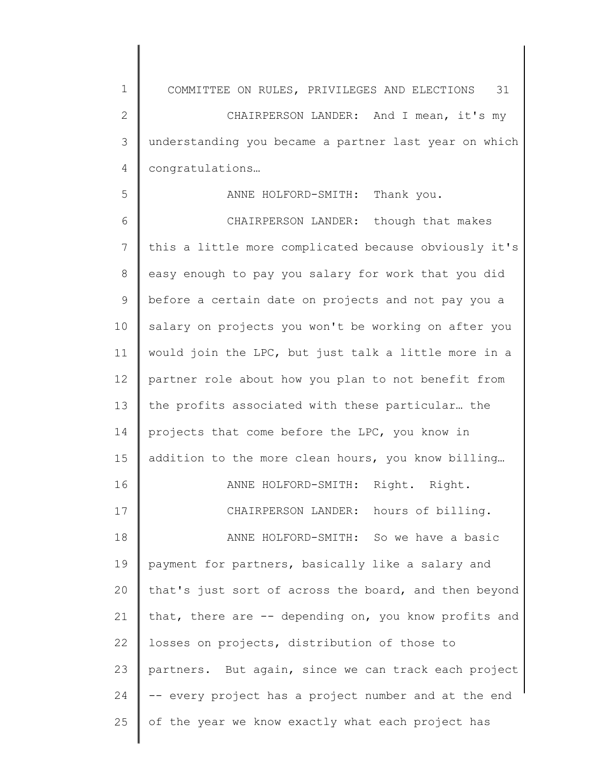1 2 3 4 5 6 7 8 9 10 11 12 13 14 15 16 17 18 19 20 21 22 23 24 25 COMMITTEE ON RULES, PRIVILEGES AND ELECTIONS 31 CHAIRPERSON LANDER: And I mean, it's my understanding you became a partner last year on which congratulations… ANNE HOLFORD-SMITH: Thank you. CHAIRPERSON LANDER: though that makes this a little more complicated because obviously it's easy enough to pay you salary for work that you did before a certain date on projects and not pay you a salary on projects you won't be working on after you would join the LPC, but just talk a little more in a partner role about how you plan to not benefit from the profits associated with these particular… the projects that come before the LPC, you know in addition to the more clean hours, you know billing… ANNE HOLFORD-SMITH: Right. Right. CHAIRPERSON LANDER: hours of billing. ANNE HOLFORD-SMITH: So we have a basic payment for partners, basically like a salary and that's just sort of across the board, and then beyond that, there are -- depending on, you know profits and losses on projects, distribution of those to partners. But again, since we can track each project -- every project has a project number and at the end of the year we know exactly what each project has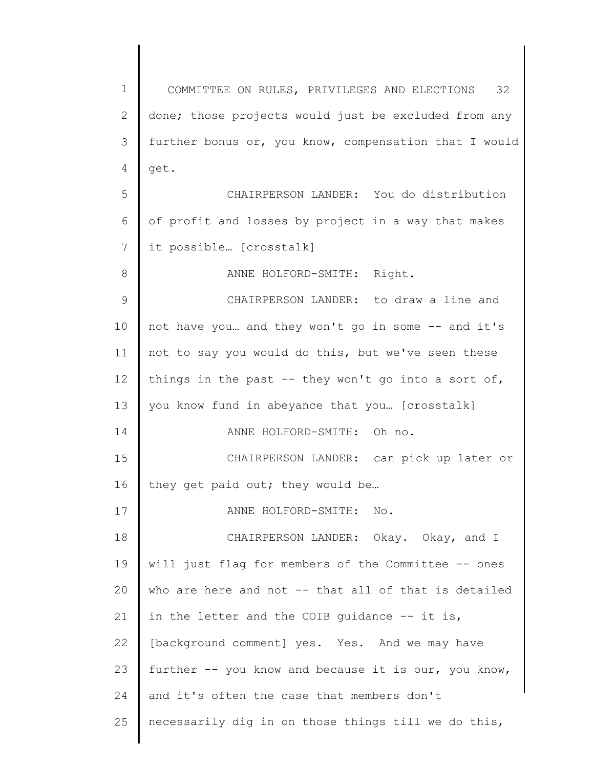1 2 3 4 5 6 7 8 9 10 11 12 13 14 15 16 17 18 19 20 21 22 23 24 25 COMMITTEE ON RULES, PRIVILEGES AND ELECTIONS 32 done; those projects would just be excluded from any further bonus or, you know, compensation that I would get. CHAIRPERSON LANDER: You do distribution of profit and losses by project in a way that makes it possible… [crosstalk] ANNE HOLFORD-SMITH: Right. CHAIRPERSON LANDER: to draw a line and not have you… and they won't go in some -- and it's not to say you would do this, but we've seen these things in the past  $-$  they won't go into a sort of, you know fund in abeyance that you… [crosstalk] ANNE HOLFORD-SMITH: Oh no. CHAIRPERSON LANDER: can pick up later or they get paid out; they would be… ANNE HOLFORD-SMITH: No. CHAIRPERSON LANDER: Okay. Okay, and I will just flag for members of the Committee -- ones who are here and not -- that all of that is detailed in the letter and the COIB quidance  $-$ - it is, [background comment] yes. Yes. And we may have further -- you know and because it is our, you know, and it's often the case that members don't necessarily dig in on those things till we do this,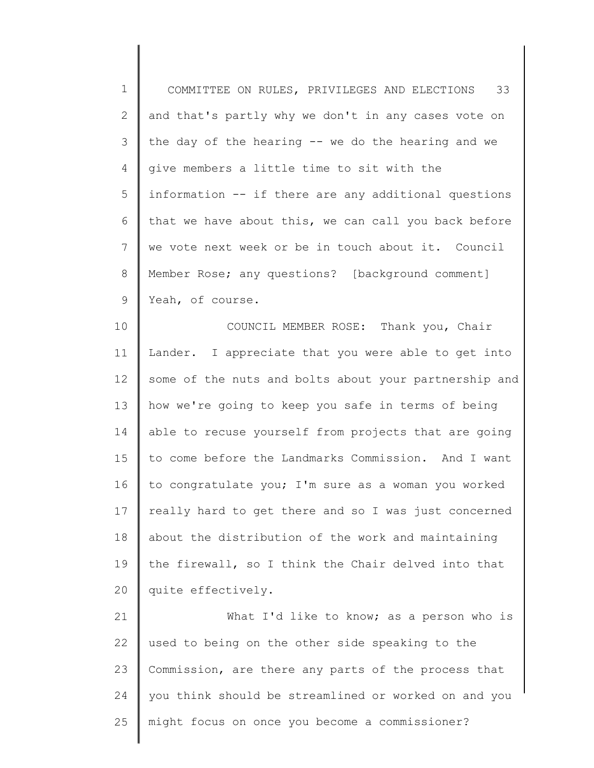1 2 3 4 5 6 7 8 9 COMMITTEE ON RULES, PRIVILEGES AND ELECTIONS 33 and that's partly why we don't in any cases vote on the day of the hearing -- we do the hearing and we give members a little time to sit with the information -- if there are any additional questions that we have about this, we can call you back before we vote next week or be in touch about it. Council Member Rose; any questions? [background comment] Yeah, of course.

10 11 12 13 14 15 16 17 18 19 20 COUNCIL MEMBER ROSE: Thank you, Chair Lander. I appreciate that you were able to get into some of the nuts and bolts about your partnership and how we're going to keep you safe in terms of being able to recuse yourself from projects that are going to come before the Landmarks Commission. And I want to congratulate you; I'm sure as a woman you worked really hard to get there and so I was just concerned about the distribution of the work and maintaining the firewall, so I think the Chair delved into that quite effectively.

21 22 23 24 25 What I'd like to know; as a person who is used to being on the other side speaking to the Commission, are there any parts of the process that you think should be streamlined or worked on and you might focus on once you become a commissioner?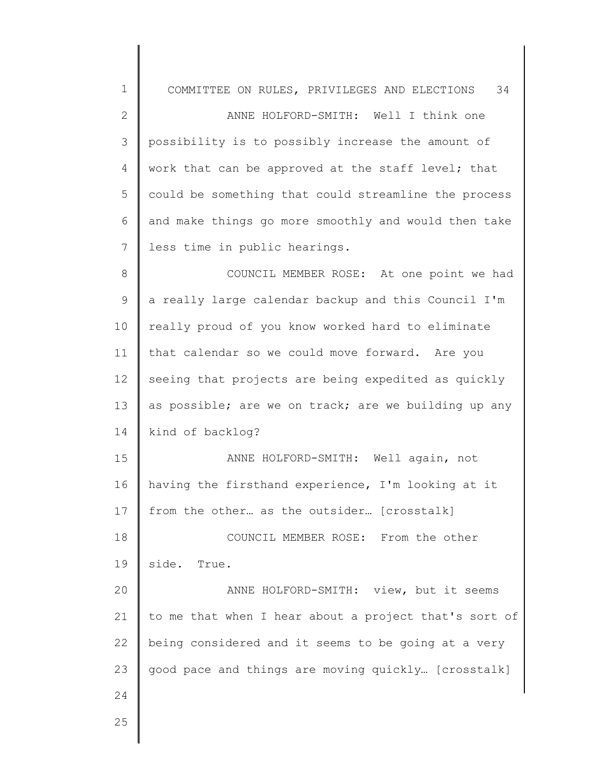| $\mathbf 1$   | COMMITTEE ON RULES, PRIVILEGES AND ELECTIONS 34       |
|---------------|-------------------------------------------------------|
| $\mathbf{2}$  | ANNE HOLFORD-SMITH: Well I think one                  |
| $\mathcal{S}$ | possibility is to possibly increase the amount of     |
| 4             | work that can be approved at the staff level; that    |
| 5             | could be something that could streamline the process  |
| 6             | and make things go more smoothly and would then take  |
| 7             | less time in public hearings.                         |
| $8\,$         | COUNCIL MEMBER ROSE: At one point we had              |
| $\mathsf 9$   | a really large calendar backup and this Council I'm   |
| 10            | really proud of you know worked hard to eliminate     |
| 11            | that calendar so we could move forward. Are you       |
| 12            | seeing that projects are being expedited as quickly   |
| 13            | as possible; are we on track; are we building up any  |
| 14            | kind of backlog?                                      |
| 15            | ANNE HOLFORD-SMITH: Well again, not                   |
| 16            | having the firsthand experience, I'm looking at it    |
| 17            | from the other as the outsider [crosstalk]            |
| 18            | COUNCIL MEMBER ROSE: From the other                   |
| 19            | side.<br>True.                                        |
| 20            | ANNE HOLFORD-SMITH: view, but it seems                |
| 21            | to me that when I hear about a project that's sort of |
| 22            | being considered and it seems to be going at a very   |
| 23            | good pace and things are moving quickly [crosstalk]   |
| 24            |                                                       |
| 25            |                                                       |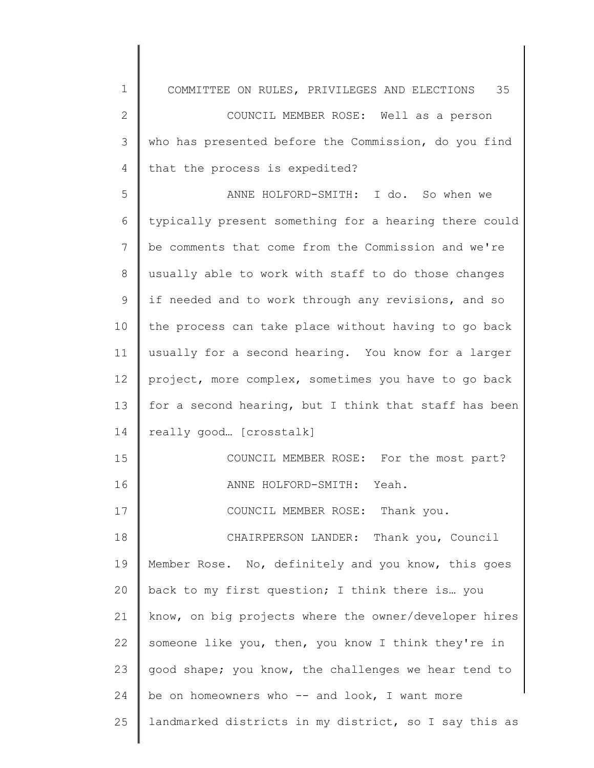| $\mathbf 1$    | COMMITTEE ON RULES, PRIVILEGES AND ELECTIONS 35       |
|----------------|-------------------------------------------------------|
| $\mathbf{2}$   | COUNCIL MEMBER ROSE: Well as a person                 |
| 3              | who has presented before the Commission, do you find  |
| $\overline{4}$ | that the process is expedited?                        |
| 5              | ANNE HOLFORD-SMITH: I do. So when we                  |
| 6              | typically present something for a hearing there could |
| 7              | be comments that come from the Commission and we're   |
| 8              | usually able to work with staff to do those changes   |
| $\mathcal{G}$  | if needed and to work through any revisions, and so   |
| 10             | the process can take place without having to go back  |
| 11             | usually for a second hearing. You know for a larger   |
| 12             | project, more complex, sometimes you have to go back  |
| 13             | for a second hearing, but I think that staff has been |
| 14             | really good [crosstalk]                               |
| 15             | COUNCIL MEMBER ROSE: For the most part?               |
| 16             | ANNE HOLFORD-SMITH: Yeah.                             |
| 17             | COUNCIL MEMBER ROSE: Thank you.                       |
| 18             | CHAIRPERSON LANDER: Thank you, Council                |
| 19             | Member Rose. No, definitely and you know, this goes   |
| 20             | back to my first question; I think there is you       |
| 21             | know, on big projects where the owner/developer hires |
| 22             | someone like you, then, you know I think they're in   |
| 23             | good shape; you know, the challenges we hear tend to  |
| 24             | be on homeowners who $--$ and look, I want more       |
| 25             | landmarked districts in my district, so I say this as |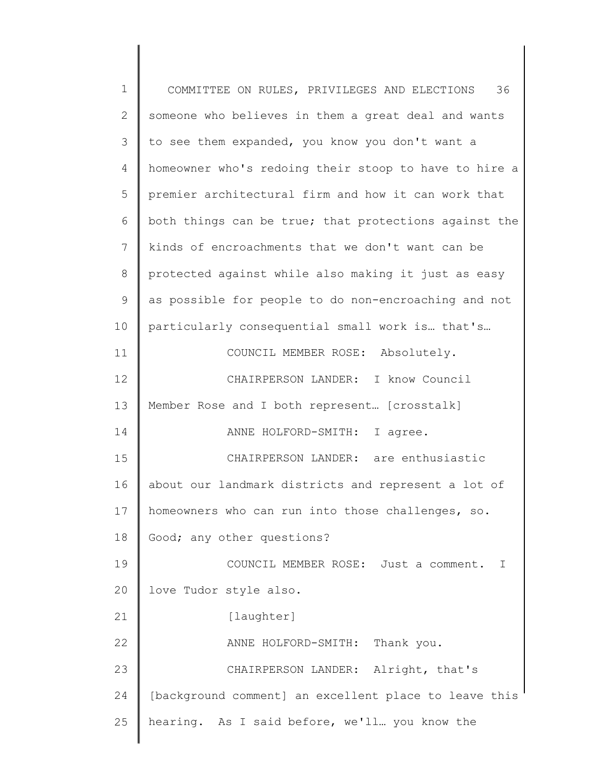1 2 3 4 5 6 7 8 9 10 11 12 13 14 15 16 17 18 19 20 21 22 23 24 25 COMMITTEE ON RULES, PRIVILEGES AND ELECTIONS 36 someone who believes in them a great deal and wants to see them expanded, you know you don't want a homeowner who's redoing their stoop to have to hire a premier architectural firm and how it can work that both things can be true; that protections against the kinds of encroachments that we don't want can be protected against while also making it just as easy as possible for people to do non-encroaching and not particularly consequential small work is… that's… COUNCIL MEMBER ROSE: Absolutely. CHAIRPERSON LANDER: I know Council Member Rose and I both represent… [crosstalk] ANNE HOLFORD-SMITH: I agree. CHAIRPERSON LANDER: are enthusiastic about our landmark districts and represent a lot of homeowners who can run into those challenges, so. Good; any other questions? COUNCIL MEMBER ROSE: Just a comment. I love Tudor style also. [laughter] ANNE HOLFORD-SMITH: Thank you. CHAIRPERSON LANDER: Alright, that's [background comment] an excellent place to leave this hearing. As I said before, we'll… you know the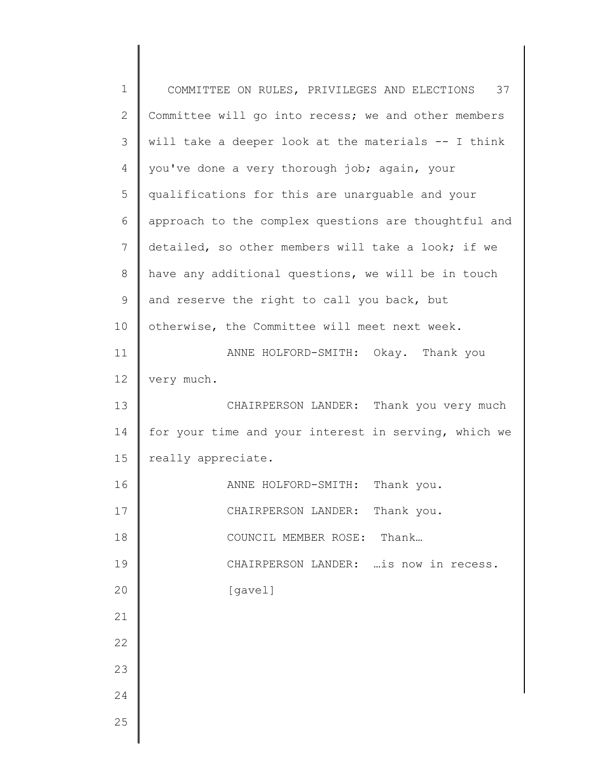| $\mathbf 1$    | COMMITTEE ON RULES, PRIVILEGES AND ELECTIONS 37      |
|----------------|------------------------------------------------------|
| $\mathbf{2}$   | Committee will go into recess; we and other members  |
| 3              | will take a deeper look at the materials -- I think  |
| $\overline{4}$ | you've done a very thorough job; again, your         |
| 5              | qualifications for this are unarguable and your      |
| 6              | approach to the complex questions are thoughtful and |
| $7\phantom{.}$ | detailed, so other members will take a look; if we   |
| 8              | have any additional questions, we will be in touch   |
| $\mathsf 9$    | and reserve the right to call you back, but          |
| 10             | otherwise, the Committee will meet next week.        |
| 11             | ANNE HOLFORD-SMITH: Okay. Thank you                  |
| 12             | very much.                                           |
| 13             | CHAIRPERSON LANDER: Thank you very much              |
| 14             | for your time and your interest in serving, which we |
| 15             | really appreciate.                                   |
| 16             | ANNE HOLFORD-SMITH:<br>Thank you.                    |
| 17             | CHAIRPERSON LANDER:<br>Thank you.                    |
| 18             | COUNCIL MEMBER ROSE: Thank                           |
| 19             | CHAIRPERSON LANDER:  is now in recess.               |
| 20             | [gavel]                                              |
| 21             |                                                      |
| 22             |                                                      |
| 23             |                                                      |
| 24             |                                                      |
| 25             |                                                      |
|                |                                                      |